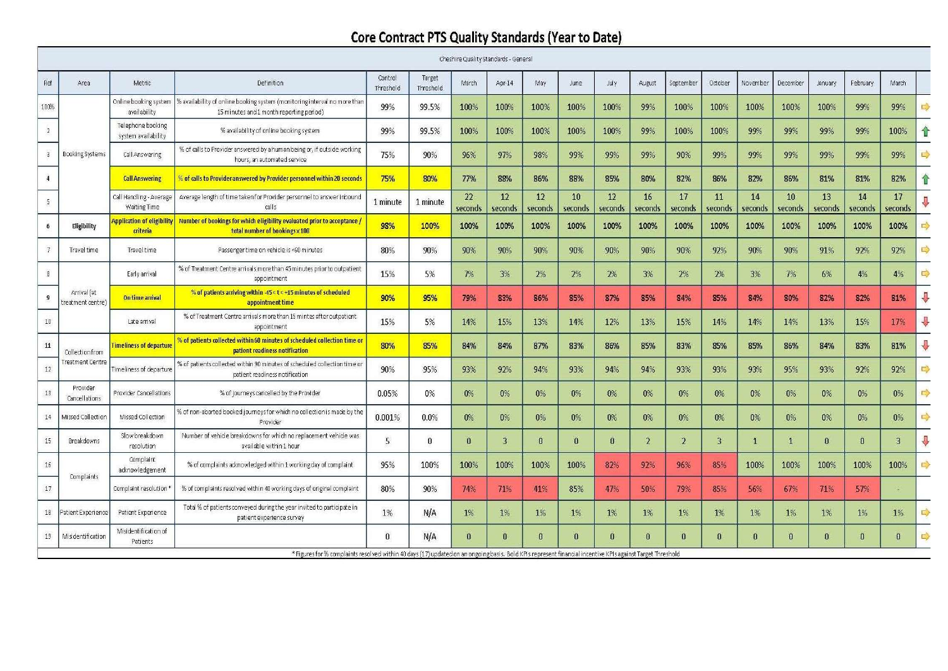## **Core Contract PTS Quality Standards (Year to Date)**

|                 |                                   |                                                |                                                                                                                                                            |                      |                     | Cheshire Quality Standards - General |               |               |               |               |                |                |               |               |               |               |                  |               |                   |
|-----------------|-----------------------------------|------------------------------------------------|------------------------------------------------------------------------------------------------------------------------------------------------------------|----------------------|---------------------|--------------------------------------|---------------|---------------|---------------|---------------|----------------|----------------|---------------|---------------|---------------|---------------|------------------|---------------|-------------------|
| Ref             | Area                              | Metric                                         | Definition                                                                                                                                                 | Control<br>Threshold | Target<br>Threshold | March                                | Apr-14        | May           | June          | <b>July</b>   | August         | September      | October       | November      | December      | January       | February         | March         |                   |
| 100%            | Booking Systems                   | Online booking system<br>availability          | % availability of online booking system (monitoring interval no more than<br>15 minutes and 1 month reporting period)                                      | 99%                  | 99.5%               | 100%                                 | 100%          | 100%          | 100%          | 100%          | 99%            | 100%           | 100%          | 100%          | 100%          | 100%          | 99%              | 99%           | $\Rightarrow$     |
| $\overline{2}$  |                                   | Telephone booking<br>system availability       | % availability of online booking system                                                                                                                    | 99%                  | 99.5%               | 100%                                 | 100%          | 100%          | 100%          | 100%          | 99%            | 100%           | 100%          | 99%           | 99%           | 99%           | 99%              | 100%          | ↑                 |
| $\mathbf{3}$    |                                   | Call Answering                                 | % of calls to Provider answered by a human being or, if outside working<br>hours, an automated service                                                     | 75%                  | 90%                 | 96%                                  | 97%           | 98%           | 99%           | 99%           | 99%            | 90%            | 99%           | 99%           | 99%           | 99%           | 99%              | 99%           | $\Rightarrow$     |
| $\overline{4}$  |                                   | <b>Call Answering</b>                          | % of calls to Provider answered by Provider personnel within 20 seconds                                                                                    | 75%                  | 80%                 | 77%                                  | 88%           | 86%           | 88%           | 85%           | 80%            | 82%            | 86%           | 82%           | 86%           | 81%           | 81%              | 82%           | 合                 |
| $5\phantom{.0}$ |                                   | Call Handling - Average<br><b>Waiting Time</b> | Average length of time taken for Provider personnel to answer inbound<br>calls                                                                             | 1 minute             | 1 minute            | 22<br>seconds                        | 12<br>seconds | 12<br>seconds | 10<br>seconds | 12<br>seconds | 16<br>seconds  | 17<br>seconds  | 11<br>seconds | 14<br>seconds | 10<br>seconds | 13<br>seconds | 14<br>seconds    | 17<br>seconds |                   |
| 6               | Eligibility                       | <b>Application of eligibility</b><br>criteria  | Number of bookings for which eligibility evaluated prior to acceptance /<br>total number of bookings x 100                                                 | 98%                  | 100%                | 100%                                 | 100%          | 100%          | 100%          | 100%          | 100%           | 100%           | 100%          | 100%          | 100%          | 100%          | 100%             | 100%          | $\Rightarrow$     |
| 7               | Travel time                       | Travel time                                    | Passenger time on vehicle is <60 minutes                                                                                                                   | 80%                  | 90%                 | 90%                                  | 90%           | 90%           | 90%           | 90%           | 90%            | 90%            | 92%           | 90%           | 90%           | 91%           | 92%              | 92%           | $\Rightarrow$     |
| $\overline{8}$  | Arrival (at<br>treatment centre)  | Early arrival                                  | % of Treatment Centre arrivals more than 45 minutes prior to outpatient<br>appointment                                                                     | 15%                  | 5%                  | 7%                                   | 3%            | 2%            | 2%            | 2%            | 3%             | 2%             | 2%            | 3%            | 7%            | 6%            | 4%               | 4%            | $\Rightarrow$     |
| $\overline{9}$  |                                   | On time arrival                                | % of patients arriving within $-45 < t < +15$ minutes of scheduled<br>appointment time                                                                     | 90%                  | 95%                 | 79%                                  | 83%           | 86%           | 85%           | 87%           | 85%            | 84%            | 85%           | 84%           | 80%           | 82%           | 82%              | 81%           | $\overline{\psi}$ |
| $10\,$          |                                   | Late arrival                                   | % of Treatment Centre arrivals more than 15 mintes after outpatient<br>appointment                                                                         | 15%                  | 5%                  | 14%                                  | 15%           | 13%           | 14%           | 12%           | 13%            | 15%            | 14%           | 14%           | 14%           | 13%           | 15%              | 17%           | $\bigoplus$       |
| $11\,$          | Collectionfrom<br>reatment Centre | <b>Fimeliness of departure</b>                 | of patients collected within 60 minutes of scheduled collection time or<br>patient readiness notification                                                  | 80%                  | 85%                 | 84%                                  | 84%           | 87%           | 83%           | 86%           | 85%            | 83%            | 85%           | 85%           | 86%           | 84%           | 83%              | 81%           | ♦                 |
| 12              |                                   | Timeliness of departure                        | % of patients collected within 90 minutes of scheduled collection time or<br>patient readiness notification                                                | 90%                  | 95%                 | 93%                                  | 92%           | 94%           | 93%           | 94%           | 94%            | 93%            | 93%           | 93%           | 95%           | 93%           | 92%              | 92%           | $\Rightarrow$     |
| $13\,$          | Provider<br>Cancellations         | Provider Cancellations                         | % of journeys cancelled by the Provider                                                                                                                    | 0.05%                | 0%                  | $0\%$                                | $0\%$         | 0%            | 0%            | 0%            | $0\%$          | 0%             | 0%            | $0\%$         | $0\%$         | $0\%$         | 0%               | $0\%$         | $\Rightarrow$     |
| 14              | Missed Collection                 | Missed Collection                              | % of non-aborted booked journeys for which no collection is made by the<br>Provider                                                                        | 0.001%               | 0.0%                | $0\%$                                | 0%            | 0%            | 0%            | 0%            | $0\%$          | 0%             | 0%            | 0%            | 0%            | $0\%$         | $0\%$            | $0\%$         | $\Rightarrow$     |
| $15\,$          | Breakdowns                        | Slow breakdown<br>resolution                   | Number of vehicle breakdowns for which no replacement vehicle was<br>available within 1 hour                                                               | 5                    | $\Omega$            | $\bf{0}$                             | $\mathbf{3}$  | $\bf{0}$      | $\bf{0}$      | O             | $\overline{2}$ | $\overline{2}$ | 3             |               |               | $\mathbf{0}$  | $\boldsymbol{0}$ | 3             | ⇩                 |
| 16              | Complaints                        | Complaint<br>acknowledgement                   | % of complaints acknowledged within 1 working day of complaint                                                                                             | 95%                  | 100%                | 100%                                 | 100%          | 100%          | 100%          | 82%           | 92%            | 96%            | 85%           | 100%          | 100%          | 100%          | 100%             | 100%          | $\square \rangle$ |
| 17              |                                   | Complaint resolution'                          | % of complaints resolved within 40 working days of original complaint                                                                                      | 80%                  | 90%                 | 74%                                  | 71%           | 41%           | 85%           | 47%           | 50%            | 79%            | 85%           | 56%           | 67%           | 71%           | 57%              |               |                   |
| 18              | Patient Experience                | Patient Experience                             | Total % of patients conveyed during the year invited to participate in<br>patient experience survey                                                        | 1%                   | N/A                 | 1%                                   | 1%            | 1%            | 1%            | 1%            | 1%             | 1%             | 1%            | 1%            | $1\%$         | $1\%$         | 1%               | $1\%$         | $\Rightarrow$     |
| 19              | Misidentification                 | Misidentification of<br>Patients               |                                                                                                                                                            | $\Omega$             | N/A                 | $\mathbf{a}$                         | $\Omega$      | $\mathbf{u}$  | $\mathbf{a}$  | n.            |                | $\Omega$       | $\Omega$      | $\Omega$      | $\Omega$      | $\Omega$      | Ω                | $\mathbf{0}$  | 少                 |
|                 |                                   |                                                | * Figures for % complaints resolved within 40 days (17) updated on an ongoing basis, Bold KPIs represent financial incentive KPIs against Target Threshold |                      |                     |                                      |               |               |               |               |                |                |               |               |               |               |                  |               |                   |